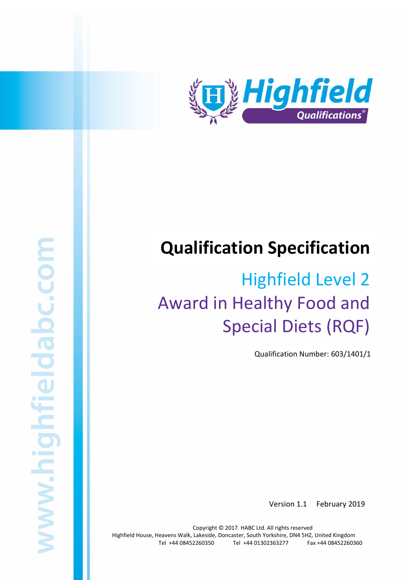

# **Qualification Specification**

# Highfield Level 2 Award in Healthy Food and Special Diets (RQF)

Qualification Number: 603/1401/1

Version 1.1 February 2019

Copyright © 2017. HABC Ltd. All rights reserved Highfield House, Heavens Walk, Lakeside, Doncaster, South Yorkshire, DN4 5HZ, United Kingdom Tel +44 08452260350 Tel +44 01302363277 Fax +44 08452260360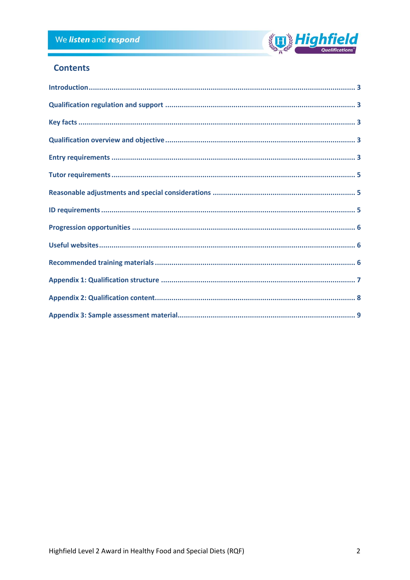

## **Contents**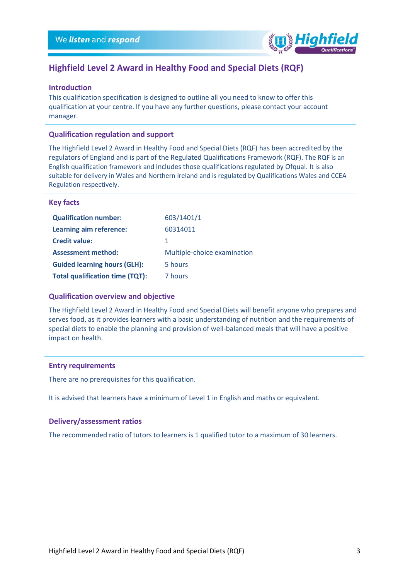

### **Highfield Level 2 Award in Healthy Food and Special Diets (RQF)**

#### <span id="page-2-0"></span>**Introduction**

This qualification specification is designed to outline all you need to know to offer this qualification at your centre. If you have any further questions, please contact your account manager.

#### <span id="page-2-1"></span>**Qualification regulation and support**

The Highfield Level 2 Award in Healthy Food and Special Diets (RQF) has been accredited by the regulators of England and is part of the Regulated Qualifications Framework (RQF). The RQF is an English qualification framework and includes those qualifications regulated by Ofqual. It is also suitable for delivery in Wales and Northern Ireland and is regulated by Qualifications Wales and CCEA Regulation respectively.

#### <span id="page-2-2"></span>**Key facts**

| <b>Qualification number:</b>           | 603/1401/1                  |
|----------------------------------------|-----------------------------|
| Learning aim reference:                | 60314011                    |
| <b>Credit value:</b>                   | 1                           |
| <b>Assessment method:</b>              | Multiple-choice examination |
| <b>Guided learning hours (GLH):</b>    | 5 hours                     |
| <b>Total qualification time (TQT):</b> | 7 hours                     |
|                                        |                             |

#### <span id="page-2-3"></span>**Qualification overview and objective**

The Highfield Level 2 Award in Healthy Food and Special Diets will benefit anyone who prepares and serves food, as it provides learners with a basic understanding of nutrition and the requirements of special diets to enable the planning and provision of well-balanced meals that will have a positive impact on health.

#### <span id="page-2-4"></span>**Entry requirements**

There are no prerequisites for this qualification.

It is advised that learners have a minimum of Level 1 in English and maths or equivalent.

#### **Delivery/assessment ratios**

The recommended ratio of tutors to learners is 1 qualified tutor to a maximum of 30 learners.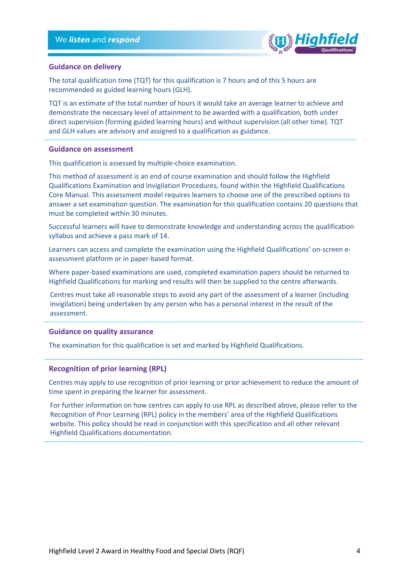

#### **Guidance on delivery**

The total qualification time (TQT) for this qualification is 7 hours and of this 5 hours are recommended as guided learning hours (GLH).

TQT is an estimate of the total number of hours it would take an average learner to achieve and demonstrate the necessary level of attainment to be awarded with a qualification, both under direct supervision (forming guided learning hours) and without supervision (all other time). TQT and GLH values are advisory and assigned to a qualification as guidance.

#### **Guidance on assessment**

This qualification is assessed by multiple-choice examination.

This method of assessment is an end of course examination and should follow the Highfield Qualifications Examination and Invigilation Procedures, found within the Highfield Qualifications Core Manual. This assessment model requires learners to choose one of the prescribed options to answer a set examination question. The examination for this qualification contains 20 questions that must be completed within 30 minutes.

Successful learners will have to demonstrate knowledge and understanding across the qualification syllabus and achieve a pass mark of 14.

Learners can access and complete the examination using the Highfield Qualifications' on-screen eassessment platform or in paper-based format.

Where paper-based examinations are used, completed examination papers should be returned to Highfield Qualifications for marking and results will then be supplied to the centre afterwards.

Centres must take all reasonable steps to avoid any part of the assessment of a learner (including invigilation) being undertaken by any person who has a personal interest in the result of the assessment.

#### **Guidance on quality assurance**

The examination for this qualification is set and marked by Highfield Qualifications.

#### **Recognition of prior learning (RPL)**

Centres may apply to use recognition of prior learning or prior achievement to reduce the amount of time spent in preparing the learner for assessment.

For further information on how centres can apply to use RPL as described above, please refer to the Recognition of Prior Learning (RPL) policy in the members' area of the Highfield Qualifications website. This policy should be read in conjunction with this specification and all other relevant Highfield Qualifications documentation.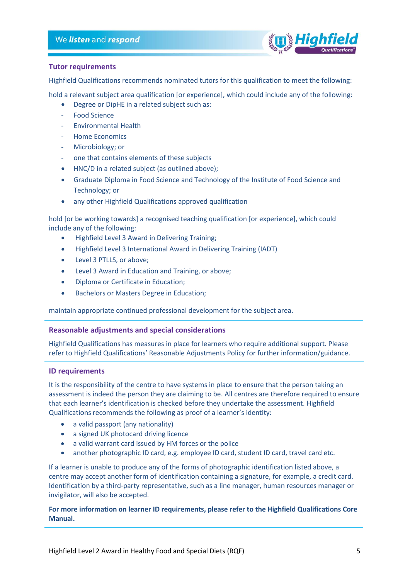

#### <span id="page-4-0"></span>**Tutor requirements**

Highfield Qualifications recommends nominated tutors for this qualification to meet the following:

hold a relevant subject area qualification [or experience], which could include any of the following:

- Degree or DipHE in a related subject such as:
- Food Science
- Environmental Health
- Home Economics
- Microbiology; or
- one that contains elements of these subjects
- HNC/D in a related subject (as outlined above);
- Graduate Diploma in Food Science and Technology of the Institute of Food Science and Technology; or
- any other Highfield Qualifications approved qualification

hold [or be working towards] a recognised teaching qualification [or experience], which could include any of the following:

- Highfield Level 3 Award in Delivering Training;
- Highfield Level 3 International Award in Delivering Training (IADT)
- Level 3 PTLLS, or above;
- Level 3 Award in Education and Training, or above;
- Diploma or Certificate in Education;
- Bachelors or Masters Degree in Education;

maintain appropriate continued professional development for the subject area.

#### <span id="page-4-1"></span>**Reasonable adjustments and special considerations**

Highfield Qualifications has measures in place for learners who require additional support. Please refer to Highfield Qualifications' Reasonable Adjustments Policy for further information/guidance.

#### <span id="page-4-2"></span>**ID requirements**

It is the responsibility of the centre to have systems in place to ensure that the person taking an assessment is indeed the person they are claiming to be. All centres are therefore required to ensure that each learner's identification is checked before they undertake the assessment. Highfield Qualifications recommends the following as proof of a learner's identity:

- a valid passport (any nationality)
- a signed UK photocard driving licence
- a valid warrant card issued by HM forces or the police
- another photographic ID card, e.g. employee ID card, student ID card, travel card etc.

If a learner is unable to produce any of the forms of photographic identification listed above, a centre may accept another form of identification containing a signature, for example, a credit card. Identification by a third-party representative, such as a line manager, human resources manager or invigilator, will also be accepted.

#### **For more information on learner ID requirements, please refer to the Highfield Qualifications Core Manual.**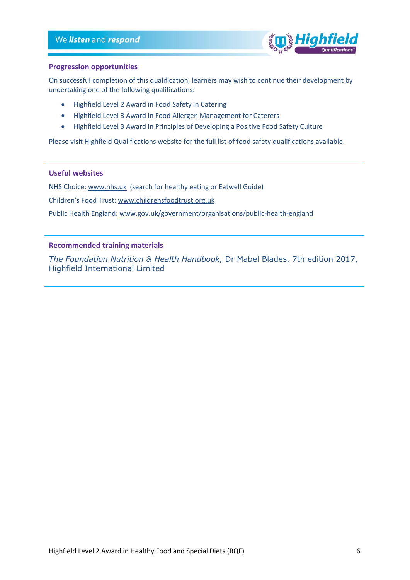

#### <span id="page-5-0"></span>**Progression opportunities**

On successful completion of this qualification, learners may wish to continue their development by undertaking one of the following qualifications:

- Highfield Level 2 Award in Food Safety in Catering
- Highfield Level 3 Award in Food Allergen Management for Caterers
- Highfield Level 3 Award in Principles of Developing a Positive Food Safety Culture

Please visit Highfield Qualifications website for the full list of food safety qualifications available.

#### <span id="page-5-1"></span>**Useful websites**

NHS Choice: [www.nhs.uk](http://www.nhs.uk/) (search for healthy eating or Eatwell Guide)

Children's Food Trust: [www.childrensfoodtrust.org.uk](http://www.childrensfoodtrust.org.uk/)

Public Health England[: www.gov.uk/government/organisations/public-health-england](http://www.gov.uk/government/organisations/public-health-england)

#### <span id="page-5-2"></span>**Recommended training materials**

*The Foundation Nutrition & Health Handbook,* Dr Mabel Blades, 7th edition 2017, Highfield International Limited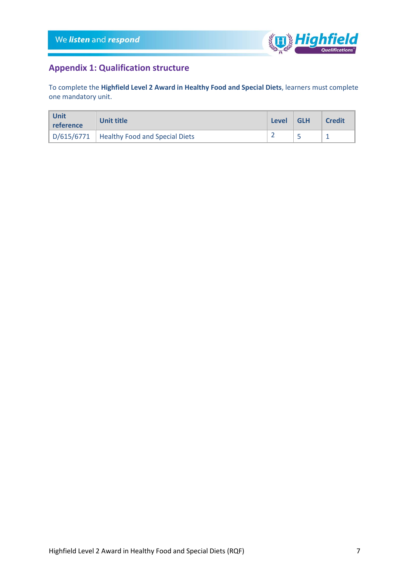

# <span id="page-6-0"></span>**Appendix 1: Qualification structure**

To complete the **Highfield Level 2 Award in Healthy Food and Special Diets**, learners must complete one mandatory unit.

| ∣ Unit<br>l reference | Unit title                                  | <b>Level</b> | <b>GLH</b> | <b>Credit</b> |
|-----------------------|---------------------------------------------|--------------|------------|---------------|
|                       | D/615/6771   Healthy Food and Special Diets |              |            |               |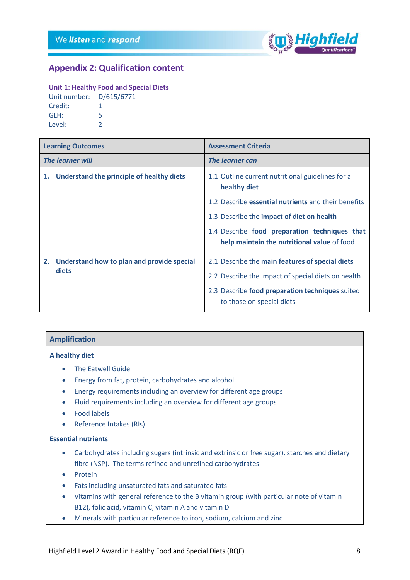

### <span id="page-7-0"></span>**Appendix 2: Qualification content**

#### **Unit 1: Healthy Food and Special Diets**

| Unit number: D/615/6771 |   |
|-------------------------|---|
| Credit:                 | 1 |
| GLH:                    | 5 |
| Level:                  | っ |

| <b>Learning Outcomes</b>                               | <b>Assessment Criteria</b>                                                                   |
|--------------------------------------------------------|----------------------------------------------------------------------------------------------|
| <b>The learner will</b>                                | The learner can                                                                              |
| 1. Understand the principle of healthy diets           | 1.1 Outline current nutritional guidelines for a<br>healthy diet                             |
|                                                        | 1.2 Describe essential nutrients and their benefits                                          |
|                                                        | 1.3 Describe the impact of diet on health                                                    |
|                                                        | 1.4 Describe food preparation techniques that<br>help maintain the nutritional value of food |
| 2. Understand how to plan and provide special<br>diets | 2.1 Describe the main features of special diets                                              |
|                                                        | 2.2 Describe the impact of special diets on health                                           |
|                                                        | 2.3 Describe food preparation techniques suited<br>to those on special diets                 |

#### **Amplification**

#### **A healthy diet**

- The Eatwell Guide
- Energy from fat, protein, carbohydrates and alcohol
- Energy requirements including an overview for different age groups
- Fluid requirements including an overview for different age groups
- Food labels
- Reference Intakes (RIs)

#### **Essential nutrients**

- Carbohydrates including sugars (intrinsic and extrinsic or free sugar), starches and dietary fibre (NSP). The terms refined and unrefined carbohydrates
- Protein
- Fats including unsaturated fats and saturated fats
- Vitamins with general reference to the B vitamin group (with particular note of vitamin B12), folic acid, vitamin C, vitamin A and vitamin D
- Minerals with particular reference to iron, sodium, calcium and zinc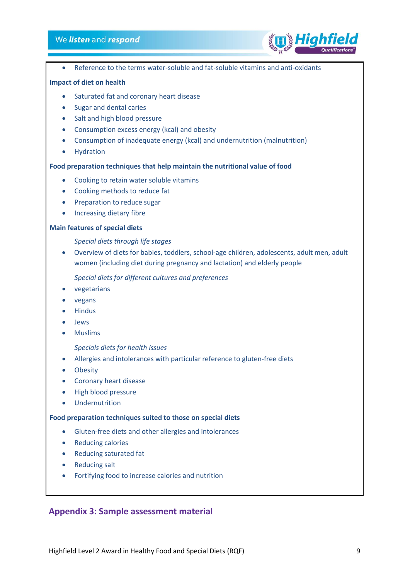#### We listen and respond



• Reference to the terms water-soluble and fat-soluble vitamins and anti-oxidants

#### **Impact of diet on health**

- Saturated fat and coronary heart disease
- Sugar and dental caries
- Salt and high blood pressure
- Consumption excess energy (kcal) and obesity
- Consumption of inadequate energy (kcal) and undernutrition (malnutrition)
- Hydration

#### **Food preparation techniques that help maintain the nutritional value of food**

- Cooking to retain water soluble vitamins
- Cooking methods to reduce fat
- Preparation to reduce sugar
- Increasing dietary fibre

#### **Main features of special diets**

*Special diets through life stages*

• Overview of diets for babies, toddlers, school-age children, adolescents, adult men, adult women (including diet during pregnancy and lactation) and elderly people

*Special diets for different cultures and preferences*

- vegetarians
- vegans
- Hindus
- Jews
- Muslims

*Specials diets for health issues*

- Allergies and intolerances with particular reference to gluten-free diets
- Obesity
- Coronary heart disease
- High blood pressure
- Undernutrition

#### **Food preparation techniques suited to those on special diets**

- Gluten-free diets and other allergies and intolerances
- Reducing calories
- Reducing saturated fat
- Reducing salt
- Fortifying food to increase calories and nutrition

#### <span id="page-8-0"></span>**Appendix 3: Sample assessment material**